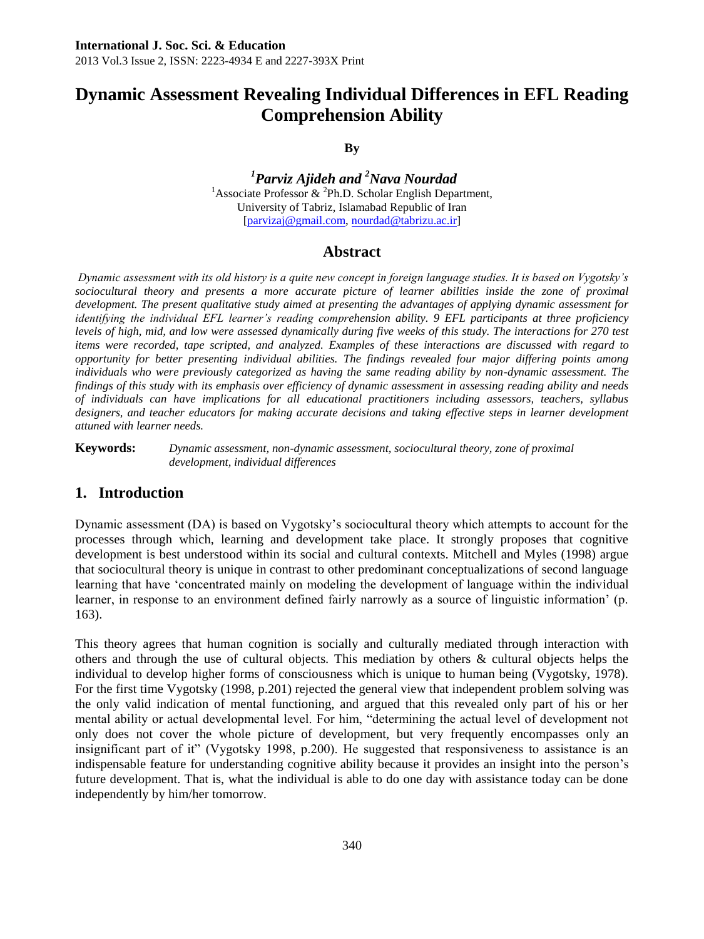# **Dynamic Assessment Revealing Individual Differences in EFL Reading Comprehension Ability**

**By**

*<sup>1</sup>Parviz Ajideh and <sup>2</sup>Nava Nourdad* <sup>1</sup> Associate Professor & <sup>2</sup>Ph.D. Scholar English Department, University of Tabriz, Islamabad Republic of Iran [\[parvizaj@gmail.com,](mailto:parvizaj@gmail.com) [nourdad@tabrizu.ac.ir\]](mailto:nourdad@tabrizu.ac.ir)

### **Abstract**

*Dynamic assessment with its old history is a quite new concept in foreign language studies. It is based on Vygotsky's*  sociocultural theory and presents a more accurate picture of learner abilities inside the zone of proximal *development. The present qualitative study aimed at presenting the advantages of applying dynamic assessment for identifying the individual EFL learner's reading comprehension ability. 9 EFL participants at three proficiency levels of high, mid, and low were assessed dynamically during five weeks of this study. The interactions for 270 test items were recorded, tape scripted, and analyzed. Examples of these interactions are discussed with regard to opportunity for better presenting individual abilities. The findings revealed four major differing points among individuals who were previously categorized as having the same reading ability by non-dynamic assessment. The findings of this study with its emphasis over efficiency of dynamic assessment in assessing reading ability and needs of individuals can have implications for all educational practitioners including assessors, teachers, syllabus*  designers, and teacher educators for making accurate decisions and taking effective steps in learner development *attuned with learner needs.*

**Keywords:** *Dynamic assessment, non-dynamic assessment, sociocultural theory, zone of proximal development, individual differences*

### **1. Introduction**

Dynamic assessment (DA) is based on Vygotsky"s sociocultural theory which attempts to account for the processes through which, learning and development take place. It strongly proposes that cognitive development is best understood within its social and cultural contexts. Mitchell and Myles (1998) argue that sociocultural theory is unique in contrast to other predominant conceptualizations of second language learning that have "concentrated mainly on modeling the development of language within the individual learner, in response to an environment defined fairly narrowly as a source of linguistic information" (p. 163).

This theory agrees that human cognition is socially and culturally mediated through interaction with others and through the use of cultural objects. This mediation by others & cultural objects helps the individual to develop higher forms of consciousness which is unique to human being (Vygotsky, 1978). For the first time Vygotsky (1998, p.201) rejected the general view that independent problem solving was the only valid indication of mental functioning, and argued that this revealed only part of his or her mental ability or actual developmental level. For him, "determining the actual level of development not only does not cover the whole picture of development, but very frequently encompasses only an insignificant part of it" (Vygotsky 1998, p.200). He suggested that responsiveness to assistance is an indispensable feature for understanding cognitive ability because it provides an insight into the person"s future development. That is, what the individual is able to do one day with assistance today can be done independently by him/her tomorrow.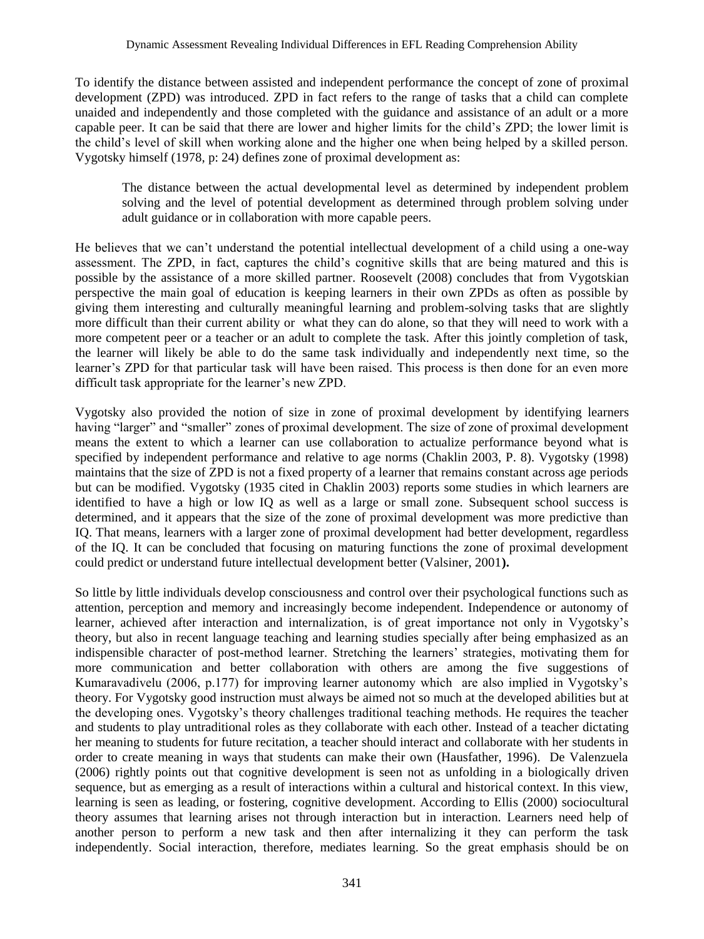To identify the distance between assisted and independent performance the concept of zone of proximal development (ZPD) was introduced. ZPD in fact refers to the range of tasks that a child can complete unaided and independently and those completed with the guidance and assistance of an adult or a more capable peer. It can be said that there are lower and higher limits for the child"s ZPD; the lower limit is the child"s level of skill when working alone and the higher one when being helped by a skilled person. Vygotsky himself (1978, p: 24) defines zone of proximal development as:

The distance between the actual developmental level as determined by independent problem solving and the level of potential development as determined through problem solving under adult guidance or in collaboration with more capable peers.

He believes that we can"t understand the potential intellectual development of a child using a one-way assessment. The ZPD, in fact, captures the child"s cognitive skills that are being matured and this is possible by the assistance of a more skilled partner. Roosevelt (2008) concludes that from Vygotskian perspective the main goal of education is keeping learners in their own ZPDs as often as possible by giving them interesting and culturally meaningful learning and problem-solving tasks that are slightly more difficult than their current ability or what they can do alone, so that they will need to work with a more competent peer or a teacher or an adult to complete the task. After this jointly completion of task, the learner will likely be able to do the same task individually and independently next time, so the learner"s ZPD for that particular task will have been raised. This process is then done for an even more difficult task appropriate for the learner's new ZPD.

Vygotsky also provided the notion of size in zone of proximal development by identifying learners having "larger" and "smaller" zones of proximal development. The size of zone of proximal development means the extent to which a learner can use collaboration to actualize performance beyond what is specified by independent performance and relative to age norms (Chaklin 2003, P. 8). Vygotsky (1998) maintains that the size of ZPD is not a fixed property of a learner that remains constant across age periods but can be modified. Vygotsky (1935 cited in Chaklin 2003) reports some studies in which learners are identified to have a high or low IQ as well as a large or small zone. Subsequent school success is determined, and it appears that the size of the zone of proximal development was more predictive than IQ. That means, learners with a larger zone of proximal development had better development, regardless of the IQ. It can be concluded that focusing on maturing functions the zone of proximal development could predict or understand future intellectual development better (Valsiner, 2001**).**

So little by little individuals develop consciousness and control over their psychological functions such as attention, perception and memory and increasingly become independent. Independence or autonomy of learner, achieved after interaction and internalization, is of great importance not only in Vygotsky"s theory, but also in recent language teaching and learning studies specially after being emphasized as an indispensible character of post-method learner. Stretching the learners" strategies, motivating them for more communication and better collaboration with others are among the five suggestions of Kumaravadivelu (2006, p.177) for improving learner autonomy which are also implied in Vygotsky"s theory. For Vygotsky good instruction must always be aimed not so much at the developed abilities but at the developing ones. Vygotsky"s theory challenges traditional teaching methods. He requires the teacher and students to play untraditional roles as they collaborate with each other. Instead of a teacher dictating her meaning to students for future recitation, a teacher should interact and collaborate with her students in order to create meaning in ways that students can make their own (Hausfather, 1996). De Valenzuela (2006) rightly points out that cognitive development is seen not as unfolding in a biologically driven sequence, but as emerging as a result of interactions within a cultural and historical context. In this view, learning is seen as leading, or fostering, cognitive development. According to Ellis (2000) sociocultural theory assumes that learning arises not through interaction but in interaction. Learners need help of another person to perform a new task and then after internalizing it they can perform the task independently. Social interaction, therefore, mediates learning. So the great emphasis should be on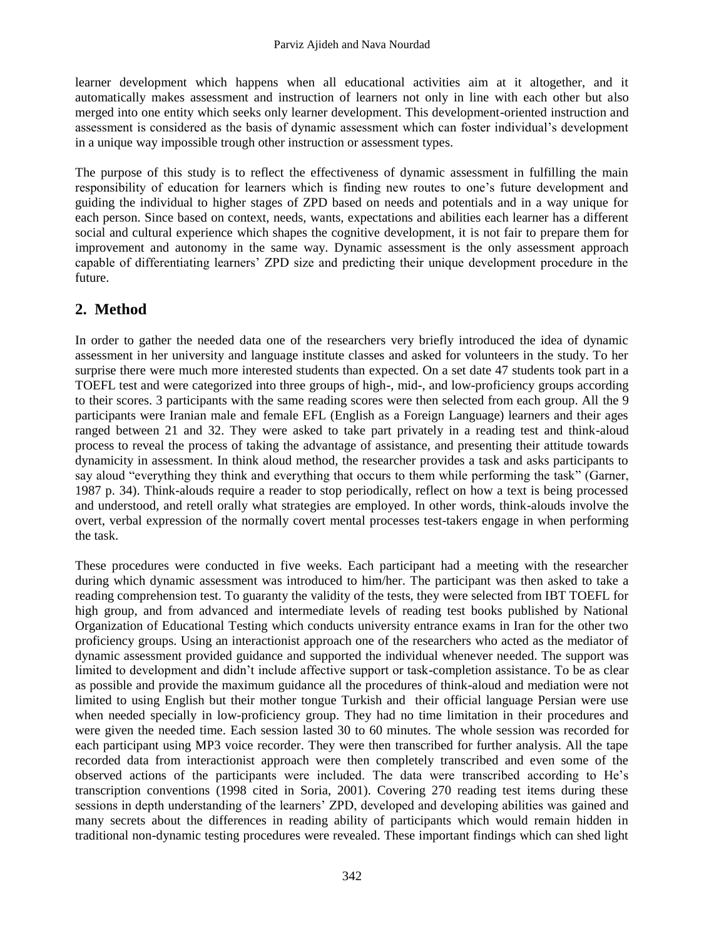learner development which happens when all educational activities aim at it altogether, and it automatically makes assessment and instruction of learners not only in line with each other but also merged into one entity which seeks only learner development. This development-oriented instruction and assessment is considered as the basis of dynamic assessment which can foster individual"s development in a unique way impossible trough other instruction or assessment types.

The purpose of this study is to reflect the effectiveness of dynamic assessment in fulfilling the main responsibility of education for learners which is finding new routes to one"s future development and guiding the individual to higher stages of ZPD based on needs and potentials and in a way unique for each person. Since based on context, needs, wants, expectations and abilities each learner has a different social and cultural experience which shapes the cognitive development, it is not fair to prepare them for improvement and autonomy in the same way. Dynamic assessment is the only assessment approach capable of differentiating learners' ZPD size and predicting their unique development procedure in the future.

## **2. Method**

In order to gather the needed data one of the researchers very briefly introduced the idea of dynamic assessment in her university and language institute classes and asked for volunteers in the study. To her surprise there were much more interested students than expected. On a set date 47 students took part in a TOEFL test and were categorized into three groups of high-, mid-, and low-proficiency groups according to their scores. 3 participants with the same reading scores were then selected from each group. All the 9 participants were Iranian male and female EFL (English as a Foreign Language) learners and their ages ranged between 21 and 32. They were asked to take part privately in a reading test and think-aloud process to reveal the process of taking the advantage of assistance, and presenting their attitude towards dynamicity in assessment. In think aloud method, the researcher provides a task and asks participants to say aloud "everything they think and everything that occurs to them while performing the task" (Garner, 1987 p. 34). Think-alouds require a reader to stop periodically, reflect on how a text is being processed and understood, and retell orally what strategies are employed. In other words, think-alouds involve the overt, verbal expression of the normally covert mental processes test-takers engage in when performing the task.

These procedures were conducted in five weeks. Each participant had a meeting with the researcher during which dynamic assessment was introduced to him/her. The participant was then asked to take a reading comprehension test. To guaranty the validity of the tests, they were selected from IBT TOEFL for high group, and from advanced and intermediate levels of reading test books published by National Organization of Educational Testing which conducts university entrance exams in Iran for the other two proficiency groups. Using an interactionist approach one of the researchers who acted as the mediator of dynamic assessment provided guidance and supported the individual whenever needed. The support was limited to development and didn"t include affective support or task-completion assistance. To be as clear as possible and provide the maximum guidance all the procedures of think-aloud and mediation were not limited to using English but their mother tongue Turkish and their official language Persian were use when needed specially in low-proficiency group. They had no time limitation in their procedures and were given the needed time. Each session lasted 30 to 60 minutes. The whole session was recorded for each participant using MP3 voice recorder. They were then transcribed for further analysis. All the tape recorded data from interactionist approach were then completely transcribed and even some of the observed actions of the participants were included. The data were transcribed according to He"s transcription conventions (1998 cited in Soria, 2001). Covering 270 reading test items during these sessions in depth understanding of the learners" ZPD, developed and developing abilities was gained and many secrets about the differences in reading ability of participants which would remain hidden in traditional non-dynamic testing procedures were revealed. These important findings which can shed light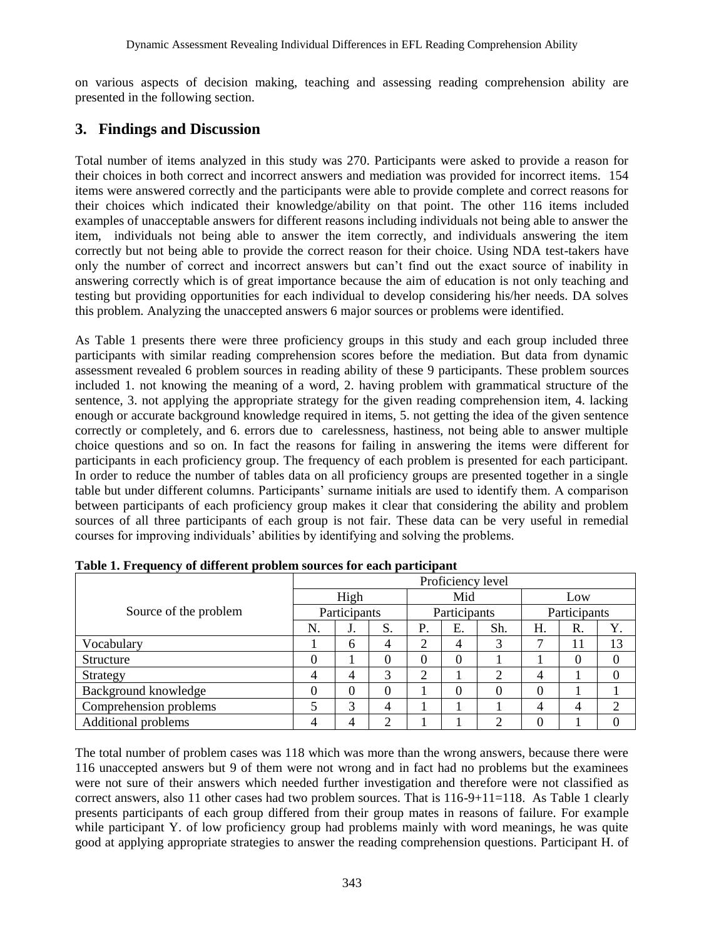on various aspects of decision making, teaching and assessing reading comprehension ability are presented in the following section.

### **3. Findings and Discussion**

Total number of items analyzed in this study was 270. Participants were asked to provide a reason for their choices in both correct and incorrect answers and mediation was provided for incorrect items. 154 items were answered correctly and the participants were able to provide complete and correct reasons for their choices which indicated their knowledge/ability on that point. The other 116 items included examples of unacceptable answers for different reasons including individuals not being able to answer the item, individuals not being able to answer the item correctly, and individuals answering the item correctly but not being able to provide the correct reason for their choice. Using NDA test-takers have only the number of correct and incorrect answers but can"t find out the exact source of inability in answering correctly which is of great importance because the aim of education is not only teaching and testing but providing opportunities for each individual to develop considering his/her needs. DA solves this problem. Analyzing the unaccepted answers 6 major sources or problems were identified.

As Table 1 presents there were three proficiency groups in this study and each group included three participants with similar reading comprehension scores before the mediation. But data from dynamic assessment revealed 6 problem sources in reading ability of these 9 participants. These problem sources included 1. not knowing the meaning of a word, 2. having problem with grammatical structure of the sentence, 3. not applying the appropriate strategy for the given reading comprehension item, 4. lacking enough or accurate background knowledge required in items, 5. not getting the idea of the given sentence correctly or completely, and 6. errors due to carelessness, hastiness, not being able to answer multiple choice questions and so on. In fact the reasons for failing in answering the items were different for participants in each proficiency group. The frequency of each problem is presented for each participant. In order to reduce the number of tables data on all proficiency groups are presented together in a single table but under different columns. Participants" surname initials are used to identify them. A comparison between participants of each proficiency group makes it clear that considering the ability and problem sources of all three participants of each group is not fair. These data can be very useful in remedial courses for improving individuals" abilities by identifying and solving the problems.

|                        | Proficiency level |    |              |           |    |                  |                |    |    |  |
|------------------------|-------------------|----|--------------|-----------|----|------------------|----------------|----|----|--|
|                        | High              |    |              | Mid       |    |                  | Low            |    |    |  |
| Source of the problem  | Participants      |    | Participants |           |    | Participants     |                |    |    |  |
|                        | N.                | J. | S.           | <b>P.</b> | E. | Sh.              | Н.             | R. | Y. |  |
| Vocabulary             |                   | 6  | 4            | 2         | 4  | 3                |                | 11 | 13 |  |
| Structure              | 0                 |    | 0            | 0         | 0  |                  |                |    |    |  |
| Strategy               | 4                 | 4  | 3            | っ         |    | ာ                | $\overline{4}$ |    |    |  |
| Background knowledge   |                   | 0  | 0            |           | 0  | $\left( \right)$ | 0              |    |    |  |
| Comprehension problems |                   | 3  | 4            |           |    |                  | 4              | 4  | ↑  |  |
| Additional problems    | 4                 |    | ↑            |           |    | ◠                | 0              |    |    |  |

**Table 1. Frequency of different problem sources for each participant**

The total number of problem cases was 118 which was more than the wrong answers, because there were 116 unaccepted answers but 9 of them were not wrong and in fact had no problems but the examinees were not sure of their answers which needed further investigation and therefore were not classified as correct answers, also 11 other cases had two problem sources. That is 116-9+11=118. As Table 1 clearly presents participants of each group differed from their group mates in reasons of failure. For example while participant Y. of low proficiency group had problems mainly with word meanings, he was quite good at applying appropriate strategies to answer the reading comprehension questions. Participant H. of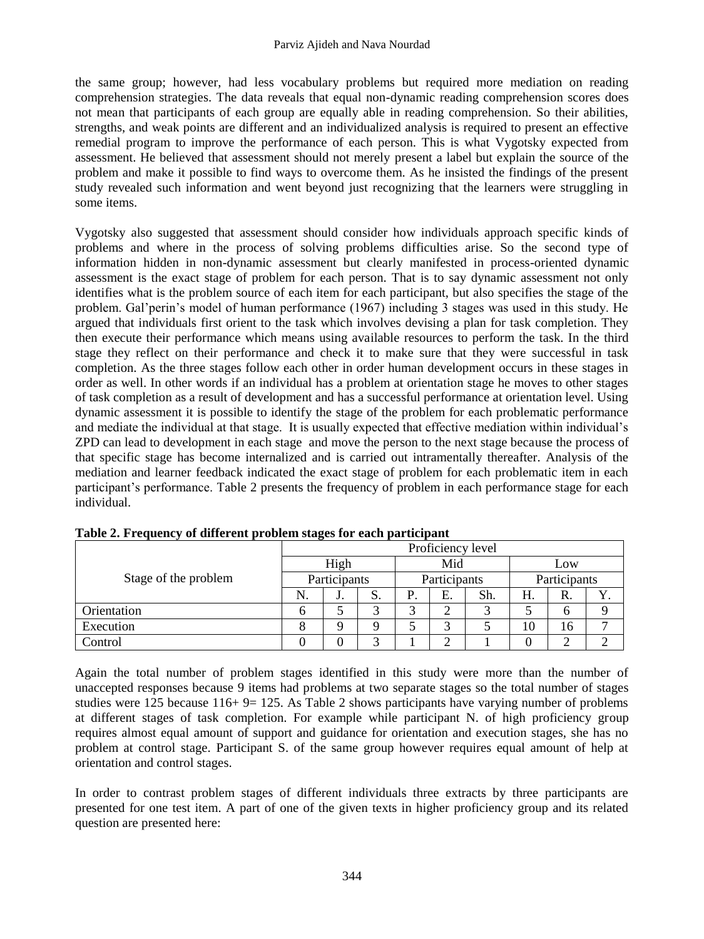the same group; however, had less vocabulary problems but required more mediation on reading comprehension strategies. The data reveals that equal non-dynamic reading comprehension scores does not mean that participants of each group are equally able in reading comprehension. So their abilities, strengths, and weak points are different and an individualized analysis is required to present an effective remedial program to improve the performance of each person. This is what Vygotsky expected from assessment. He believed that assessment should not merely present a label but explain the source of the problem and make it possible to find ways to overcome them. As he insisted the findings of the present study revealed such information and went beyond just recognizing that the learners were struggling in some items.

Vygotsky also suggested that assessment should consider how individuals approach specific kinds of problems and where in the process of solving problems difficulties arise. So the second type of information hidden in non-dynamic assessment but clearly manifested in process-oriented dynamic assessment is the exact stage of problem for each person. That is to say dynamic assessment not only identifies what is the problem source of each item for each participant, but also specifies the stage of the problem. Gal'perin's model of human performance (1967) including 3 stages was used in this study. He argued that individuals first orient to the task which involves devising a plan for task completion. They then execute their performance which means using available resources to perform the task. In the third stage they reflect on their performance and check it to make sure that they were successful in task completion. As the three stages follow each other in order human development occurs in these stages in order as well. In other words if an individual has a problem at orientation stage he moves to other stages of task completion as a result of development and has a successful performance at orientation level. Using dynamic assessment it is possible to identify the stage of the problem for each problematic performance and mediate the individual at that stage. It is usually expected that effective mediation within individual"s ZPD can lead to development in each stage and move the person to the next stage because the process of that specific stage has become internalized and is carried out intramentally thereafter. Analysis of the mediation and learner feedback indicated the exact stage of problem for each problematic item in each participant"s performance. Table 2 presents the frequency of problem in each performance stage for each individual.

|                      | Proficiency level |    |    |              |    |     |              |    |  |  |
|----------------------|-------------------|----|----|--------------|----|-----|--------------|----|--|--|
|                      | High              |    |    | Mid          |    |     | Low          |    |  |  |
| Stage of the problem | Participants      |    |    | Participants |    |     | Participants |    |  |  |
|                      | N.                | J. | D. | P            | E. | Sh. | Н.           | R. |  |  |
| Orientation          |                   |    |    | 2            | ∸  |     |              | n  |  |  |
| Execution            |                   | Q  |    |              |    |     | 10           | 16 |  |  |
| Control              |                   |    |    |              |    |     |              |    |  |  |

**Table 2. Frequency of different problem stages for each participant**

Again the total number of problem stages identified in this study were more than the number of unaccepted responses because 9 items had problems at two separate stages so the total number of stages studies were  $125$  because  $116+9=125$ . As Table 2 shows participants have varying number of problems at different stages of task completion. For example while participant N. of high proficiency group requires almost equal amount of support and guidance for orientation and execution stages, she has no problem at control stage. Participant S. of the same group however requires equal amount of help at orientation and control stages.

In order to contrast problem stages of different individuals three extracts by three participants are presented for one test item. A part of one of the given texts in higher proficiency group and its related question are presented here: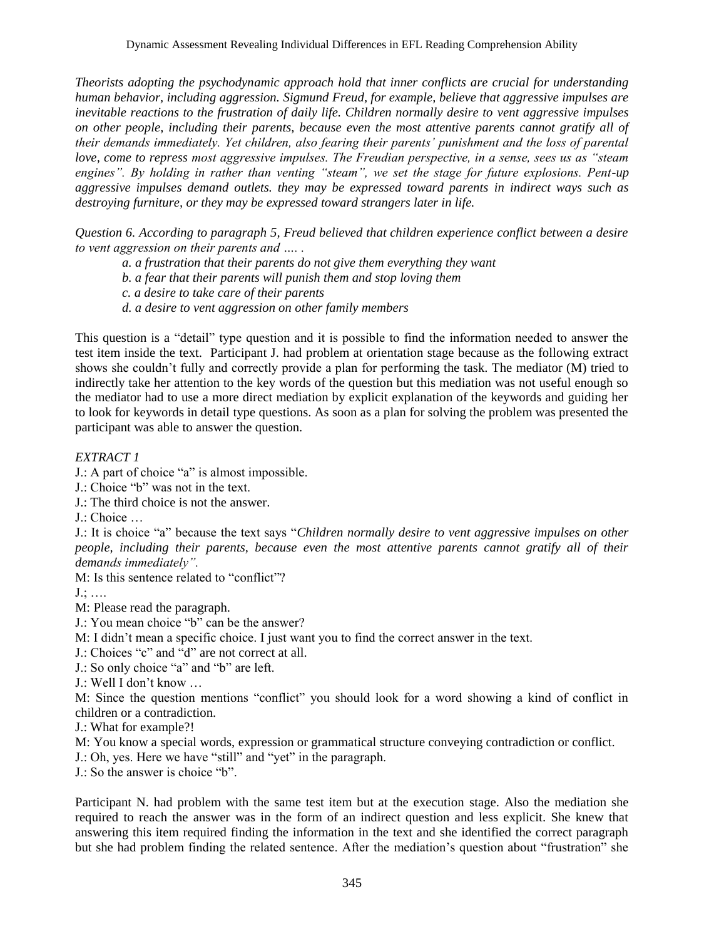*Theorists adopting the psychodynamic approach hold that inner conflicts are crucial for understanding human behavior, including aggression. Sigmund Freud, for example, believe that aggressive impulses are inevitable reactions to the frustration of daily life. Children normally desire to vent aggressive impulses on other people, including their parents, because even the most attentive parents cannot gratify all of their demands immediately. Yet children, also fearing their parents' punishment and the loss of parental love, come to repress most aggressive impulses. The Freudian perspective, in a sense, sees us as "steam engines". By holding in rather than venting "steam", we set the stage for future explosions. Pent-up aggressive impulses demand outlets. they may be expressed toward parents in indirect ways such as destroying furniture, or they may be expressed toward strangers later in life.*

*Question 6. According to paragraph 5, Freud believed that children experience conflict between a desire to vent aggression on their parents and …. .*

- *a. a frustration that their parents do not give them everything they want*
- *b. a fear that their parents will punish them and stop loving them*
- *c. a desire to take care of their parents*
- *d. a desire to vent aggression on other family members*

This question is a "detail" type question and it is possible to find the information needed to answer the test item inside the text. Participant J. had problem at orientation stage because as the following extract shows she couldn"t fully and correctly provide a plan for performing the task. The mediator (M) tried to indirectly take her attention to the key words of the question but this mediation was not useful enough so the mediator had to use a more direct mediation by explicit explanation of the keywords and guiding her to look for keywords in detail type questions. As soon as a plan for solving the problem was presented the participant was able to answer the question.

#### *EXTRACT 1*

- J.: A part of choice "a" is almost impossible.
- J.: Choice "b" was not in the text.
- J.: The third choice is not the answer.
- J.: Choice …

J.: It is choice "a" because the text says "*Children normally desire to vent aggressive impulses on other people, including their parents, because even the most attentive parents cannot gratify all of their demands immediately".*

M: Is this sentence related to "conflict"?

J.; ….

- M: Please read the paragraph.
- J.: You mean choice "b" can be the answer?
- M: I didn"t mean a specific choice. I just want you to find the correct answer in the text.
- J.: Choices "c" and "d" are not correct at all.
- J.: So only choice "a" and "b" are left.
- J.: Well I don"t know …

M: Since the question mentions "conflict" you should look for a word showing a kind of conflict in children or a contradiction.

J.: What for example?!

- M: You know a special words, expression or grammatical structure conveying contradiction or conflict.
- J.: Oh, yes. Here we have "still" and "yet" in the paragraph.

J.: So the answer is choice "b".

Participant N. had problem with the same test item but at the execution stage. Also the mediation she required to reach the answer was in the form of an indirect question and less explicit. She knew that answering this item required finding the information in the text and she identified the correct paragraph but she had problem finding the related sentence. After the mediation"s question about "frustration" she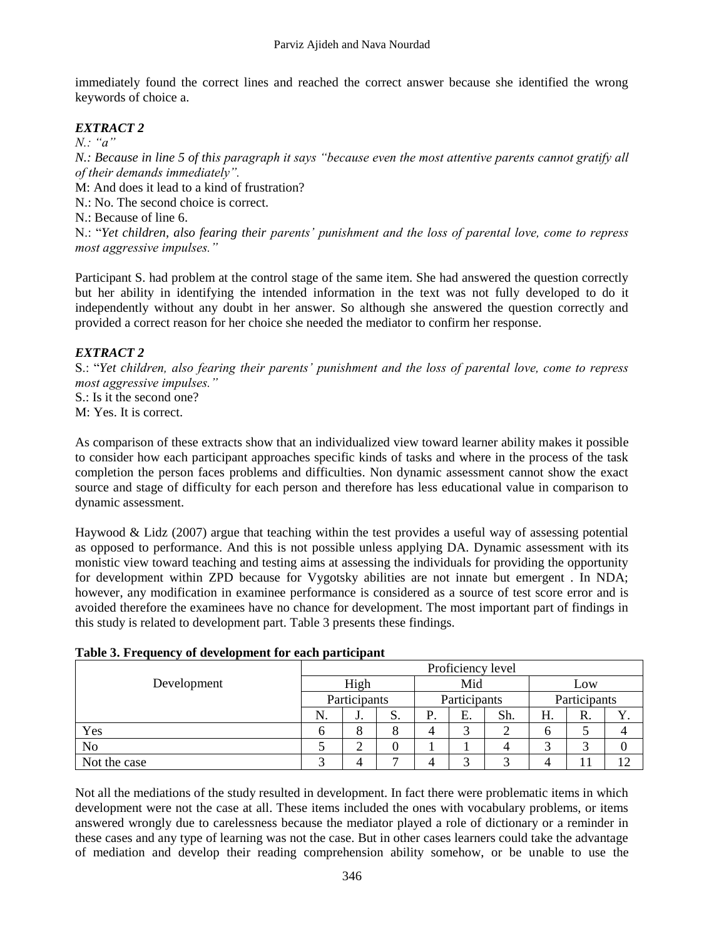immediately found the correct lines and reached the correct answer because she identified the wrong keywords of choice a.

### *EXTRACT 2*

*N.: "a"*

*N.: Because in line 5 of this paragraph it says "because even the most attentive parents cannot gratify all of their demands immediately".*

M: And does it lead to a kind of frustration?

N.: No. The second choice is correct.

N.: Because of line 6.

N.: "*Yet children, also fearing their parents' punishment and the loss of parental love, come to repress most aggressive impulses."*

Participant S. had problem at the control stage of the same item. She had answered the question correctly but her ability in identifying the intended information in the text was not fully developed to do it independently without any doubt in her answer. So although she answered the question correctly and provided a correct reason for her choice she needed the mediator to confirm her response.

#### *EXTRACT 2*

S.: "*Yet children, also fearing their parents' punishment and the loss of parental love, come to repress most aggressive impulses."*

S.: Is it the second one?

M: Yes. It is correct.

As comparison of these extracts show that an individualized view toward learner ability makes it possible to consider how each participant approaches specific kinds of tasks and where in the process of the task completion the person faces problems and difficulties. Non dynamic assessment cannot show the exact source and stage of difficulty for each person and therefore has less educational value in comparison to dynamic assessment.

Haywood & Lidz (2007) argue that teaching within the test provides a useful way of assessing potential as opposed to performance. And this is not possible unless applying DA. Dynamic assessment with its monistic view toward teaching and testing aims at assessing the individuals for providing the opportunity for development within ZPD because for Vygotsky abilities are not innate but emergent . In NDA; however, any modification in examinee performance is considered as a source of test score error and is avoided therefore the examinees have no chance for development. The most important part of findings in this study is related to development part. Table 3 presents these findings.

|                | Proficiency level |        |    |              |    |     |              |    |  |
|----------------|-------------------|--------|----|--------------|----|-----|--------------|----|--|
| Development    | High              |        |    | Mid          |    |     | Low          |    |  |
|                | Participants      |        |    | Participants |    |     | Participants |    |  |
|                | N.                | J.     | S. | D<br>. .     | Е. | Sh. | Н.           | R. |  |
| Yes            | h                 | 8      | 8  |              | 2  |     | h            |    |  |
| N <sub>0</sub> |                   | ⌒<br>∠ | 0  |              |    |     |              |    |  |
| Not the case   |                   | 4      |    |              | 2  |     |              |    |  |

#### **Table 3. Frequency of development for each participant**

Not all the mediations of the study resulted in development. In fact there were problematic items in which development were not the case at all. These items included the ones with vocabulary problems, or items answered wrongly due to carelessness because the mediator played a role of dictionary or a reminder in these cases and any type of learning was not the case. But in other cases learners could take the advantage of mediation and develop their reading comprehension ability somehow, or be unable to use the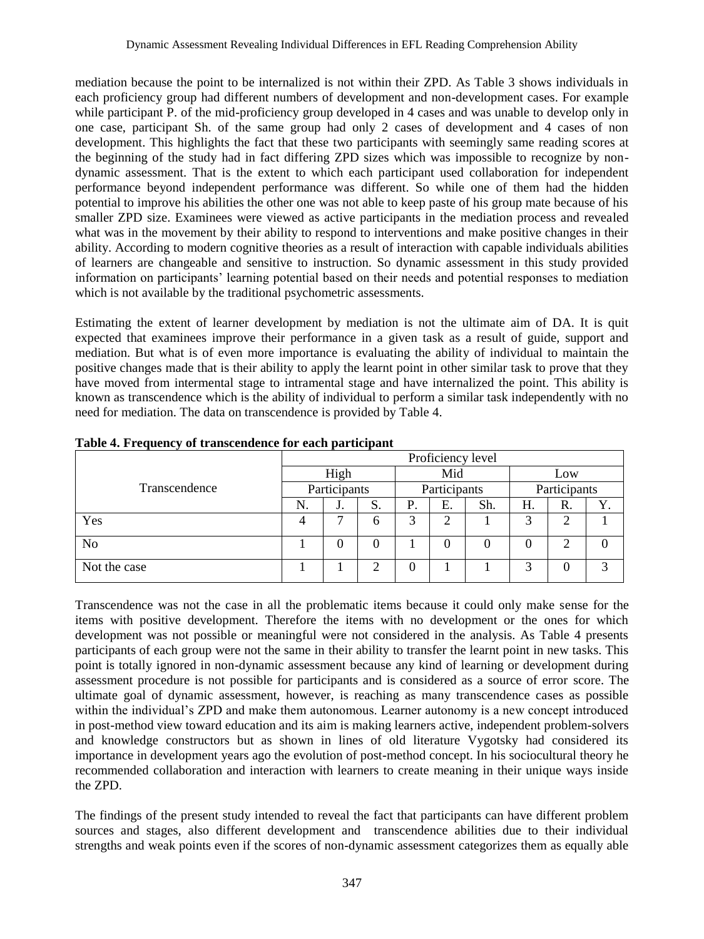mediation because the point to be internalized is not within their ZPD. As Table 3 shows individuals in each proficiency group had different numbers of development and non-development cases. For example while participant P. of the mid-proficiency group developed in 4 cases and was unable to develop only in one case, participant Sh. of the same group had only 2 cases of development and 4 cases of non development. This highlights the fact that these two participants with seemingly same reading scores at the beginning of the study had in fact differing ZPD sizes which was impossible to recognize by nondynamic assessment. That is the extent to which each participant used collaboration for independent performance beyond independent performance was different. So while one of them had the hidden potential to improve his abilities the other one was not able to keep paste of his group mate because of his smaller ZPD size. Examinees were viewed as active participants in the mediation process and revealed what was in the movement by their ability to respond to interventions and make positive changes in their ability. According to modern cognitive theories as a result of interaction with capable individuals abilities of learners are changeable and sensitive to instruction. So dynamic assessment in this study provided information on participants" learning potential based on their needs and potential responses to mediation which is not available by the traditional psychometric assessments.

Estimating the extent of learner development by mediation is not the ultimate aim of DA. It is quit expected that examinees improve their performance in a given task as a result of guide, support and mediation. But what is of even more importance is evaluating the ability of individual to maintain the positive changes made that is their ability to apply the learnt point in other similar task to prove that they have moved from intermental stage to intramental stage and have internalized the point. This ability is known as transcendence which is the ability of individual to perform a similar task independently with no need for mediation. The data on transcendence is provided by Table 4.

|                | Proficiency level |          |    |              |    |     |              |    |    |  |
|----------------|-------------------|----------|----|--------------|----|-----|--------------|----|----|--|
|                | High              |          |    | Mid          |    |     | Low          |    |    |  |
| Transcendence  | Participants      |          |    | Participants |    |     | Participants |    |    |  |
|                | N.                | J.       | S. | Ρ.           | Е. | Sh. | Н.           | R. | Y. |  |
| Yes            | 4                 | ⇁        | h  | 2            | ◠  |     | 3            |    |    |  |
| N <sub>o</sub> |                   | $\Omega$ |    |              | 0  |     |              | ◠  | 0  |  |
| Not the case   |                   |          |    | 0            |    |     | 3            |    | 3  |  |

**Table 4. Frequency of transcendence for each participant**

Transcendence was not the case in all the problematic items because it could only make sense for the items with positive development. Therefore the items with no development or the ones for which development was not possible or meaningful were not considered in the analysis. As Table 4 presents participants of each group were not the same in their ability to transfer the learnt point in new tasks. This point is totally ignored in non-dynamic assessment because any kind of learning or development during assessment procedure is not possible for participants and is considered as a source of error score. The ultimate goal of dynamic assessment, however, is reaching as many transcendence cases as possible within the individual's ZPD and make them autonomous. Learner autonomy is a new concept introduced in post-method view toward education and its aim is making learners active, independent problem-solvers and knowledge constructors but as shown in lines of old literature Vygotsky had considered its importance in development years ago the evolution of post-method concept. In his sociocultural theory he recommended collaboration and interaction with learners to create meaning in their unique ways inside the ZPD.

The findings of the present study intended to reveal the fact that participants can have different problem sources and stages, also different development and transcendence abilities due to their individual strengths and weak points even if the scores of non-dynamic assessment categorizes them as equally able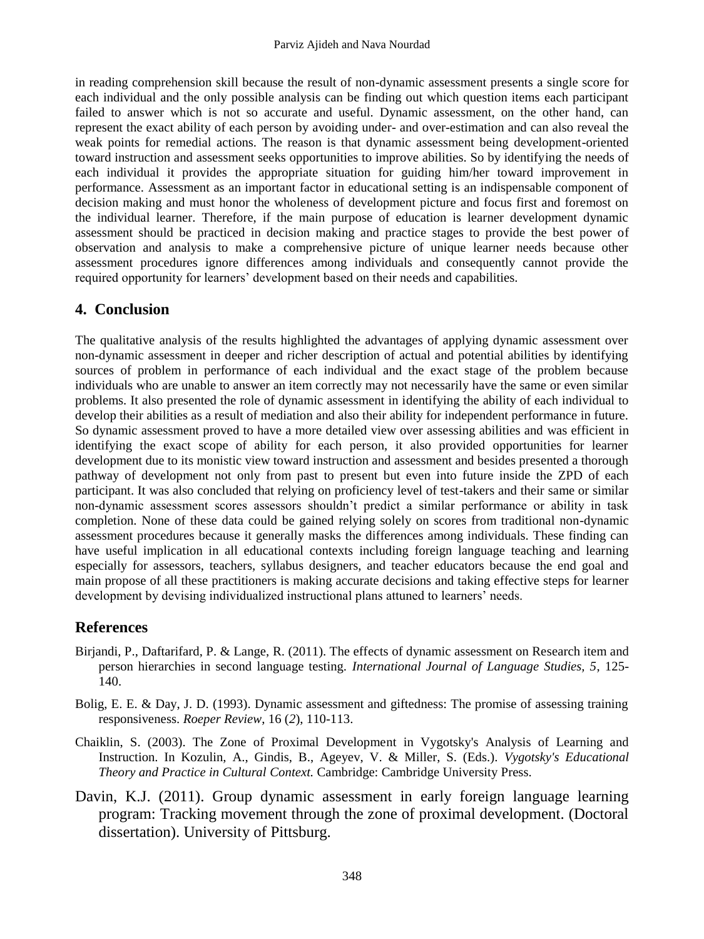in reading comprehension skill because the result of non-dynamic assessment presents a single score for each individual and the only possible analysis can be finding out which question items each participant failed to answer which is not so accurate and useful. Dynamic assessment, on the other hand, can represent the exact ability of each person by avoiding under- and over-estimation and can also reveal the weak points for remedial actions. The reason is that dynamic assessment being development-oriented toward instruction and assessment seeks opportunities to improve abilities. So by identifying the needs of each individual it provides the appropriate situation for guiding him/her toward improvement in performance. Assessment as an important factor in educational setting is an indispensable component of decision making and must honor the wholeness of development picture and focus first and foremost on the individual learner. Therefore, if the main purpose of education is learner development dynamic assessment should be practiced in decision making and practice stages to provide the best power of observation and analysis to make a comprehensive picture of unique learner needs because other assessment procedures ignore differences among individuals and consequently cannot provide the required opportunity for learners' development based on their needs and capabilities.

### **4. Conclusion**

The qualitative analysis of the results highlighted the advantages of applying dynamic assessment over non-dynamic assessment in deeper and richer description of actual and potential abilities by identifying sources of problem in performance of each individual and the exact stage of the problem because individuals who are unable to answer an item correctly may not necessarily have the same or even similar problems. It also presented the role of dynamic assessment in identifying the ability of each individual to develop their abilities as a result of mediation and also their ability for independent performance in future. So dynamic assessment proved to have a more detailed view over assessing abilities and was efficient in identifying the exact scope of ability for each person, it also provided opportunities for learner development due to its monistic view toward instruction and assessment and besides presented a thorough pathway of development not only from past to present but even into future inside the ZPD of each participant. It was also concluded that relying on proficiency level of test-takers and their same or similar non-dynamic assessment scores assessors shouldn"t predict a similar performance or ability in task completion. None of these data could be gained relying solely on scores from traditional non-dynamic assessment procedures because it generally masks the differences among individuals. These finding can have useful implication in all educational contexts including foreign language teaching and learning especially for assessors, teachers, syllabus designers, and teacher educators because the end goal and main propose of all these practitioners is making accurate decisions and taking effective steps for learner development by devising individualized instructional plans attuned to learners' needs.

# **References**

- Birjandi, P., Daftarifard, P. & Lange, R. (2011). The effects of dynamic assessment on Research item and person hierarchies in second language testing. *International Journal of Language Studies, 5*, 125- 140.
- Bolig, E. E. & Day, J. D. (1993). Dynamic assessment and giftedness: The promise of assessing training responsiveness. *Roeper Review*, 16 (*2*), 110-113.
- Chaiklin, S. (2003). The Zone of Proximal Development in Vygotsky's Analysis of Learning and Instruction. In Kozulin, A., Gindis, B., Ageyev, V. & Miller, S. (Eds.). *Vygotsky's Educational Theory and Practice in Cultural Context.* Cambridge: Cambridge University Press.
- Davin, K.J. (2011). Group dynamic assessment in early foreign language learning program: Tracking movement through the zone of proximal development. (Doctoral dissertation). University of Pittsburg.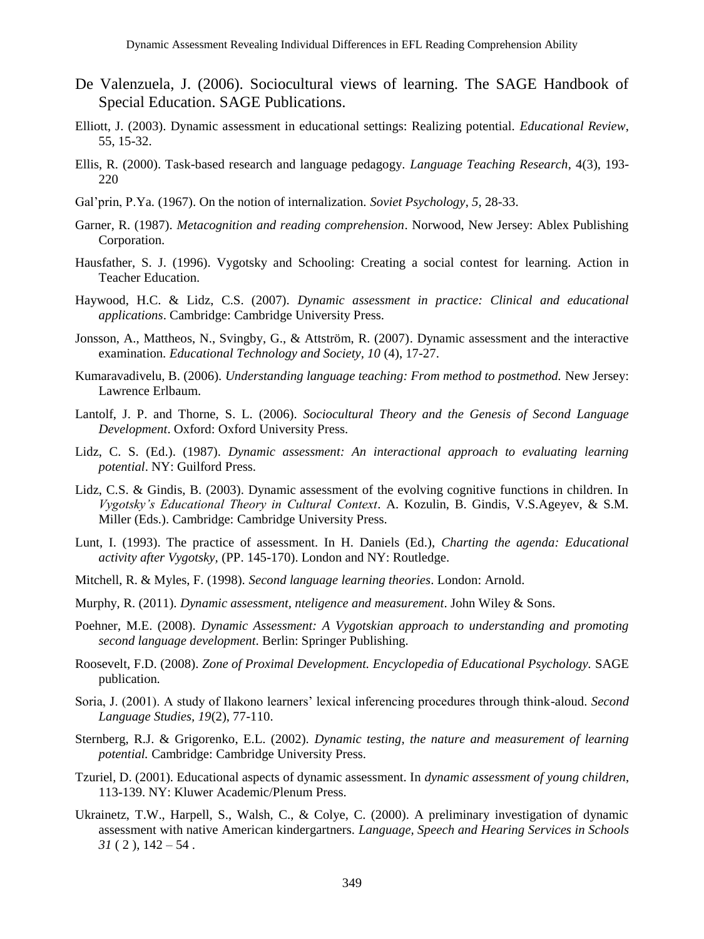- De Valenzuela, J. (2006). Sociocultural views of learning. The SAGE Handbook of Special Education. SAGE Publications.
- Elliott, J. (2003). Dynamic assessment in educational settings: Realizing potential. *Educational Review*, 55, 15-32.
- Ellis, R. (2000). Task-based research and language pedagogy. *Language Teaching Research*, 4(3), 193- 220
- Gal"prin, P.Ya. (1967). On the notion of internalization. *Soviet Psychology*, *5*, 28-33.
- Garner, R. (1987). *Metacognition and reading comprehension*. Norwood, New Jersey: Ablex Publishing Corporation.
- Hausfather, S. J. (1996). Vygotsky and Schooling: Creating a social contest for learning. Action in Teacher Education.
- Haywood, H.C. & Lidz, C.S. (2007). *Dynamic assessment in practice: Clinical and educational applications*. Cambridge: Cambridge University Press.
- Jonsson, A., Mattheos, N., Svingby, G., & Attström, R. (2007). Dynamic assessment and the interactive examination. *Educational Technology and Society, 10* (4), 17-27.
- Kumaravadivelu, B. (2006). *Understanding language teaching: From method to postmethod.* New Jersey: Lawrence Erlbaum.
- Lantolf, J. P. and Thorne, S. L. (2006). *Sociocultural Theory and the Genesis of Second Language Development*. Oxford: Oxford University Press.
- Lidz, C. S. (Ed.). (1987). *Dynamic assessment: An interactional approach to evaluating learning potential*. NY: Guilford Press.
- Lidz, C.S. & Gindis, B. (2003). Dynamic assessment of the evolving cognitive functions in children. In *Vygotsky's Educational Theory in Cultural Context*. A. Kozulin, B. Gindis, V.S.Ageyev, & S.M. Miller (Eds.). Cambridge: Cambridge University Press.
- Lunt, I. (1993). The practice of assessment. In H. Daniels (Ed.), *Charting the agenda: Educational activity after Vygotsky,* (PP. 145-170). London and NY: Routledge.
- Mitchell, R. & Myles, F. (1998). *Second language learning theories*. London: Arnold.
- Murphy, R. (2011). *Dynamic assessment, nteligence and measurement*. John Wiley & Sons.
- Poehner, M.E. (2008). *Dynamic Assessment: A Vygotskian approach to understanding and promoting second language development*. Berlin: Springer Publishing.
- Roosevelt, F.D. (2008). *Zone of Proximal Development. Encyclopedia of Educational Psychology.* SAGE publication*.*
- Soria, J. (2001). A study of Ilakono learners" lexical inferencing procedures through think-aloud. *Second Language Studies, 19*(2), 77-110.
- Sternberg, R.J. & Grigorenko, E.L. (2002). *Dynamic testing, the nature and measurement of learning potential.* Cambridge: Cambridge University Press.
- Tzuriel, D. (2001). Educational aspects of dynamic assessment. In *dynamic assessment of young children*, 113-139. NY: Kluwer Academic/Plenum Press.
- Ukrainetz, T.W., Harpell, S., Walsh, C., & Colye, C. (2000). A preliminary investigation of dynamic assessment with native American kindergartners. *Language, Speech and Hearing Services in Schools*   $31(2)$ ,  $142 - 54$ .